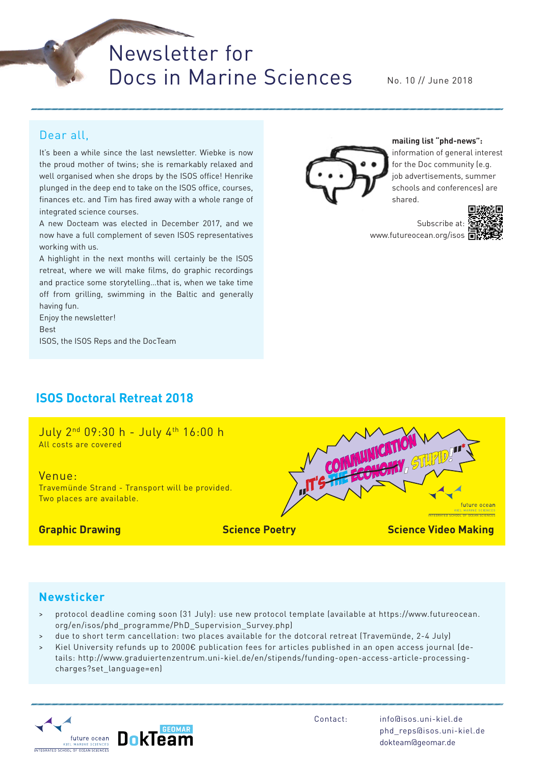Newsletter for Docs in Marine Sciences

No. 10 // June 2018

#### Dear all,

It's been a while since the last newsletter. Wiebke is now the proud mother of twins; she is remarkably relaxed and well organised when she drops by the ISOS office! Henrike plunged in the deep end to take on the ISOS office, courses, finances etc. and Tim has fired away with a whole range of integrated science courses.

A new Docteam was elected in December 2017, and we now have a full complement of seven ISOS representatives working with us.

A highlight in the next months will certainly be the ISOS retreat, where we will make films, do graphic recordings and practice some storytelling…that is, when we take time off from grilling, swimming in the Baltic and generally having fun.

Enjoy the newsletter! Best ISOS, the ISOS Reps and the DocTeam

## **ISOS Doctoral Retreat 2018**

July 2nd 09:30 h - July 4th 16:00 h All costs are covered

Venue:

Travemünde Strand - Transport will be provided. Two places are available.



**Graphic Drawing Science Poetry Science Video Making**

#### **Newsticker**

- > protocol deadline coming soon (31 July): use new protocol template (available at https://www.futureocean. org/en/isos/phd\_programme/PhD\_Supervision\_Survey.php)
- due to short term cancellation: two places available for the dotcoral retreat (Travemünde, 2-4 July)
- > Kiel University refunds up to 2000€ publication fees for articles published in an open access journal (details: http://www.graduiertenzentrum.uni-kiel.de/en/stipends/funding-open-access-article-processingcharges?set\_language=en)



Contact: info@isos.uni-kiel.de phd\_reps@isos.uni-kiel.de dokteam@geomar.de



**mailing list "phd-news":** information of general interest for the Doc community (e.g. job advertisements, summer schools and conferences) are shared.

Subscribe at: www.futureocean.org/isos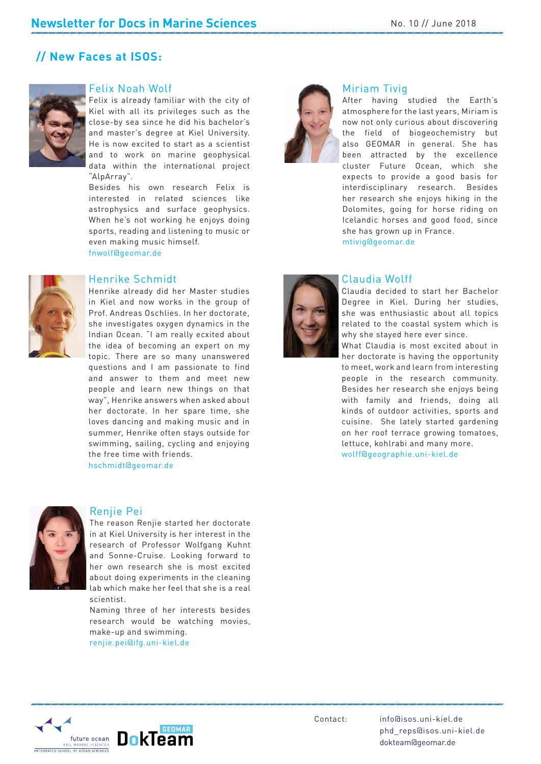#### **// New Faces at ISOS:**



#### Felix Noah Wolf

Felix is already familiar with the city of Kiel with all its privileges such as the close-by sea since he did his bachelor's and master's degree at Kiel University. He is now excited to start as a scientist and to work on marine geophysical data within the international project "AlpArray".

Besides his own research Felix is interested in related sciences like astrophysics and surface geophysics. When he's not working he enjoys doing sports, reading and listening to music or even making music himself. fnwolf@geomar.de



#### Henrike Schmidt

Henrike already did her Master studies in Kiel and now works in the group of Prof. Andreas Oschlies. In her doctorate, she investigates oxygen dynamics in the Indian Ocean. "I am really ecxited about the idea of becoming an expert on my topic. There are so many unanswered questions and I am passionate to find and answer to them and meet new people and learn new things on that way", Henrike answers when asked about her doctorate. In her spare time, she loves dancing and making music and in summer, Henrike often stays outside for swimming, sailing, cycling and enjoying the free time with friends.

hschmidt@geomar.de



#### Renjie Pei

The reason Renjie started her doctorate in at Kiel University is her interest in the research of Professor Wolfgang Kuhnt and Sonne-Cruise. Looking forward to her own research she is most excited about doing experiments in the cleaning lab which make her feel that she is a real scientist.

Naming three of her interests besides research would be watching movies, make-up and swimming.

renjie.pei@ifg.uni-kiel.de



#### Miriam Tivig

 $\mathcal{L}$ After having studied the Earth's atmosphere for the last years, Miriam is now not only curious about discovering the field of biogeochemistry but also GEOMAR in general. She has been attracted by the excellence cluster Future Ocean, which she expects to provide a good basis for interdisciplinary research. Besides her research she enjoys hiking in the Dolomites, going for horse riding on Icelandic horses and good food, since she has grown up in France. mtivig@geomar.de

#### Claudia Wolff

Claudia decided to start her Bachelor Degree in Kiel. During her studies, she was enthusiastic about all topics related to the coastal system which is why she stayed here ever since.

What Claudia is most excited about in her doctorate is having the opportunity to meet, work and learn from interesting people in the research community. Besides her research she enjoys being with family and friends, doing all kinds of outdoor activities, sports and cuisine. She lately started gardening on her roof terrace growing tomatoes, lettuce, kohlrabi and many more. wolff@geographie.uni-kiel.de



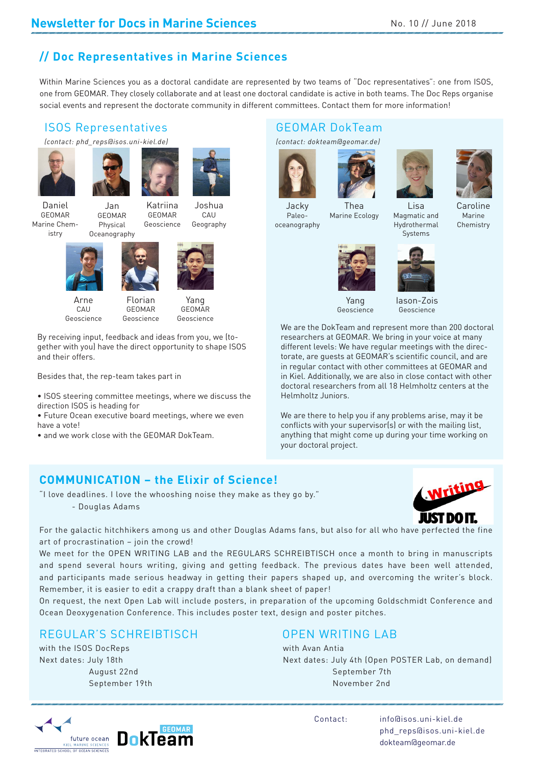## **// Doc Representatives in Marine Sciences**

Within Marine Sciences you as a doctoral candidate are represented by two teams of "Doc representatives": one from ISOS, one from GEOMAR. They closely collaborate and at least one doctoral candidate is active in both teams. The Doc Reps organise social events and represent the doctorate community in different committees. Contact them for more information!

## ISOS Representatives

*(contact: phd\_reps@isos.uni-kiel.de)* 









CAU Geography

Daniel GEOMAR Marine Chemistry

Katriina GEOMAR Geoscience Jan GEOMAR Physical Oceanography





Arne CAU Geoscience

GEOMAR Geoscience

Yang

GEOMAR Geoscience

By receiving input, feedback and ideas from you, we (together with you) have the direct opportunity to shape ISOS and their offers.

Besides that, the rep-team takes part in

• ISOS steering committee meetings, where we discuss the direction ISOS is heading for

• Future Ocean executive board meetings, where we even have a vote!

• and we work close with the GEOMAR DokTeam.

## GEOMAR DokTeam

*(contact: dokteam@geomar.de)*







Jacky Paleooceanography

Thea Marine Ecology

Caroline Marine Chemistry Lisa Magmatic and Hydrothermal



Yang Geoscience

Iason-Zois Geoscience

Systems

We are the DokTeam and represent more than 200 doctoral researchers at GEOMAR. We bring in your voice at many different levels: We have regular meetings with the directorate, are guests at GEOMAR's scientific council, and are in regular contact with other committees at GEOMAR and in Kiel. Additionally, we are also in close contact with other doctoral researchers from all 18 Helmholtz centers at the Helmholtz Juniors.

We are there to help you if any problems arise, may it be conflicts with your supervisor(s) or with the mailing list, anything that might come up during your time working on your doctoral project.

## **COMMUNICATION – the Elixir of Science!**

"I love deadlines. I love the whooshing noise they make as they go by."

- Douglas Adams



For the galactic hitchhikers among us and other Douglas Adams fans, but also for all who have perfected the fine art of procrastination – join the crowd!

We meet for the OPEN WRITING LAB and the REGULARS SCHREIBTISCH once a month to bring in manuscripts and spend several hours writing, giving and getting feedback. The previous dates have been well attended, and participants made serious headway in getting their papers shaped up, and overcoming the writer's block. Remember, it is easier to edit a crappy draft than a blank sheet of paper!

On request, the next Open Lab will include posters, in preparation of the upcoming Goldschmidt Conference and Ocean Deoxygenation Conference. This includes poster text, design and poster pitches.

## REGULAR'S SCHREIBTISCH OPEN WRITING LAB

with the ISOS DocReps with Avan Antia

# future ocean KIEL MARINE SCIENCE

Next dates: July 18th Next dates: July 4th (Open POSTER Lab, on demand) August 22nd September 7th September 19th November 2nd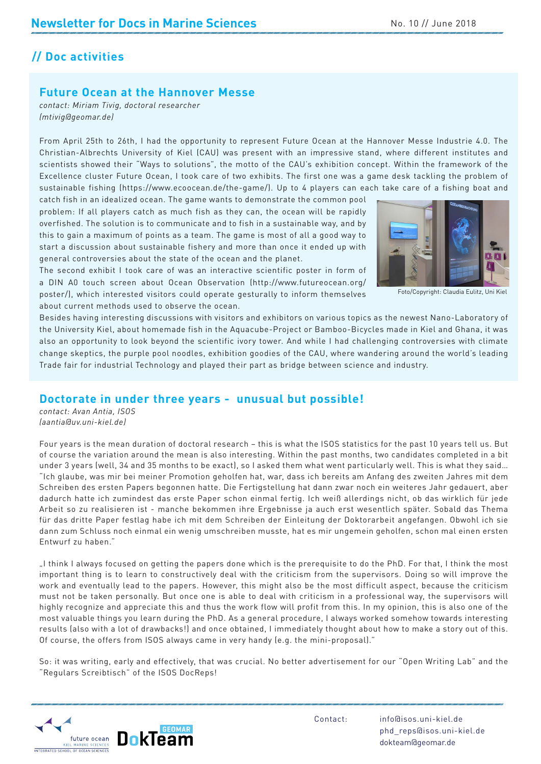## **// Doc activities**

#### **Future Ocean at the Hannover Messe**

*contact: Miriam Tivig, doctoral researcher (mtivig@geomar.de)*

From April 25th to 26th, I had the opportunity to represent Future Ocean at the Hannover Messe Industrie 4.0. The Christian-Albrechts University of Kiel (CAU) was present with an impressive stand, where different institutes and scientists showed their "Ways to solutions", the motto of the CAU's exhibition concept. Within the framework of the Excellence cluster Future Ocean, I took care of two exhibits. The first one was a game desk tackling the problem of sustainable fishing (https://www.ecoocean.de/the-game/). Up to 4 players can each take care of a fishing boat and

catch fish in an idealized ocean. The game wants to demonstrate the common pool problem: If all players catch as much fish as they can, the ocean will be rapidly overfished. The solution is to communicate and to fish in a sustainable way, and by this to gain a maximum of points as a team. The game is most of all a good way to start a discussion about sustainable fishery and more than once it ended up with general controversies about the state of the ocean and the planet.



Foto/Copyright: Claudia Eulitz, Uni Kiel

The second exhibit I took care of was an interactive scientific poster in form of a DIN A0 touch screen about Ocean Observation (http://www.futureocean.org/ poster/), which interested visitors could operate gesturally to inform themselves about current methods used to observe the ocean.

Besides having interesting discussions with visitors and exhibitors on various topics as the newest Nano-Laboratory of the University Kiel, about homemade fish in the Aquacube-Project or Bamboo-Bicycles made in Kiel and Ghana, it was also an opportunity to look beyond the scientific ivory tower. And while I had challenging controversies with climate change skeptics, the purple pool noodles, exhibition goodies of the CAU, where wandering around the world's leading Trade fair for industrial Technology and played their part as bridge between science and industry.

#### **Doctorate in under three years - unusual but possible!**

*contact: Avan Antia, ISOS (aantia@uv.uni-kiel.de)*

l us. But<br>d in a bit<br>ey said...<br>mit dem<br>ert, aber Four years is the mean duration of doctoral research – this is what the ISOS statistics for the past 10 years tell us. But of course the variation around the mean is also interesting. Within the past months, two candidates completed in a bit under 3 years (well, 34 and 35 months to be exact), so I asked them what went particularly well. This is what they said… "Ich glaube, was mir bei meiner Promotion geholfen hat, war, dass ich bereits am Anfang des zweiten Jahres mit dem Schreiben des ersten Papers begonnen hatte. Die Fertigstellung hat dann zwar noch ein weiteres Jahr gedauert, aber dadurch hatte ich zumindest das erste Paper schon einmal fertig. Ich weiß allerdings nicht, ob das wirklich für jede Arbeit so zu realisieren ist - manche bekommen ihre Ergebnisse ja auch erst wesentlich später. Sobald das Thema für das dritte Paper festlag habe ich mit dem Schreiben der Einleitung der Doktorarbeit angefangen. Obwohl ich sie dann zum Schluss noch einmal ein wenig umschreiben musste, hat es mir ungemein geholfen, schon mal einen ersten Entwurf zu haben."

"I think I always focused on getting the papers done which is the prerequisite to do the PhD. For that, I think the most important thing is to learn to constructively deal with the criticism from the supervisors. Doing so will improve the work and eventually lead to the papers. However, this might also be the most difficult aspect, because the criticism must not be taken personally. But once one is able to deal with criticism in a professional way, the supervisors will highly recognize and appreciate this and thus the work flow will profit from this. In my opinion, this is also one of the most valuable things you learn during the PhD. As a general procedure, I always worked somehow towards interesting results (also with a lot of drawbacks!) and once obtained, I immediately thought about how to make a story out of this. Of course, the offers from ISOS always came in very handy (e.g. the mini-proposal)."

So: it was writing, early and effectively, that was crucial. No better advertisement for our "Open Writing Lab" and the "Regulars Screibtisch" of the ISOS DocReps!

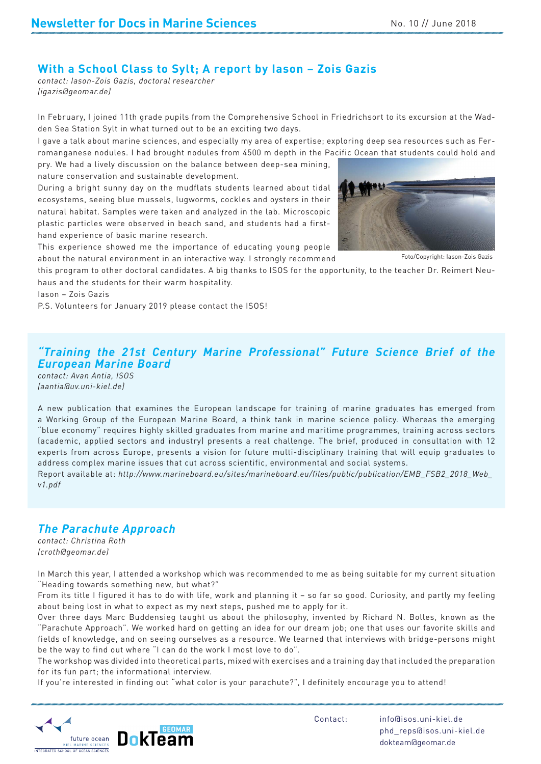#### **With a School Class to Sylt; A report by Iason – Zois Gazis**

*contact: Iason-Zois Gazis, doctoral researcher (igazis@geomar.de)*

In February, I joined 11th grade pupils from the Comprehensive School in Friedrichsort to its excursion at the Wadden Sea Station Sylt in what turned out to be an exciting two days.

I gave a talk about marine sciences, and especially my area of expertise; exploring deep sea resources such as Ferromanganese nodules. I had brought nodules from 4500 m depth in the Pacific Ocean that students could hold and

pry. We had a lively discussion on the balance between deep-sea mining, nature conservation and sustainable development.

During a bright sunny day on the mudflats students learned about tidal ecosystems, seeing blue mussels, lugworms, cockles and oysters in their natural habitat. Samples were taken and analyzed in the lab. Microscopic plastic particles were observed in beach sand, and students had a firsthand experience of basic marine research.

This experience showed me the importance of educating young people about the natural environment in an interactive way. I strongly recommend



Foto/Copyright: Iason-Zois Gazis

DRAFT<br>Gazis<br>Neuthis program to other doctoral candidates. A big thanks to ISOS for the opportunity, to the teacher Dr. Reimert Neuhaus and the students for their warm hospitality.

Iason – Zois Gazis

P.S. Volunteers for January 2019 please contact the ISOS!

#### *"Training the 21st Century Marine Professional" Future Science Brief of the European Marine Board*

*contact: Avan Antia, ISOS (aantia@uv.uni-kiel.de)*

th 12<br>es to<br>Veb\_ A new publication that examines the European landscape for training of marine graduates has emerged from a Working Group of the European Marine Board, a think tank in marine science policy. Whereas the emerging "blue economy" requires highly skilled graduates from marine and maritime programmes, training across sectors (academic, applied sectors and industry) presents a real challenge. The brief, produced in consultation with 12 experts from across Europe, presents a vision for future multi-disciplinary training that will equip graduates to address complex marine issues that cut across scientific, environmental and social systems.

Report available at: *http://www.marineboard.eu/sites/marineboard.eu/files/public/publication/EMB\_FSB2\_2018\_Web\_ v1.pdf*

#### *The Parachute Approach*

*contact: Christina Roth (croth@geomar.de)*

In March this year, I attended a workshop which was recommended to me as being suitable for my current situation "Heading towards something new, but what?"

From its title I figured it has to do with life, work and planning it – so far so good. Curiosity, and partly my feeling about being lost in what to expect as my next steps, pushed me to apply for it.

Over three days Marc Buddensieg taught us about the philosophy, invented by Richard N. Bolles, known as the "Parachute Approach". We worked hard on getting an idea for our dream job; one that uses our favorite skills and fields of knowledge, and on seeing ourselves as a resource. We learned that interviews with bridge-persons might be the way to find out where "I can do the work I most love to do".

The workshop was divided into theoretical parts, mixed with exercises and a training day that included the preparation for its fun part; the informational interview.

If you're interested in finding out "what color is your parachute?", I definitely encourage you to attend!